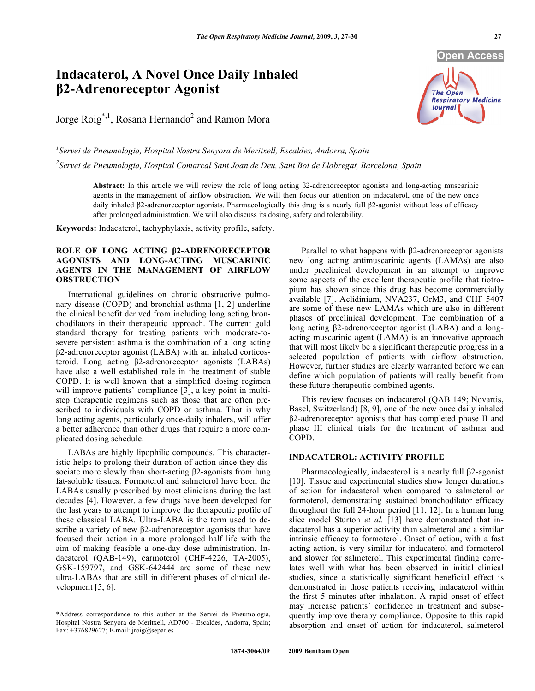# **Indacaterol, A Novel Once Daily Inhaled 2-Adrenoreceptor Agonist**

Jorge  $\text{Roig}^{*,1}$ , Rosana Hernando<sup>2</sup> and Ramon Mora

The Open **Respiratory Medicine Journal** 

*1 Servei de Pneumologia, Hospital Nostra Senyora de Meritxell, Escaldes, Andorra, Spain 2 Servei de Pneumologia, Hospital Comarcal Sant Joan de Deu, Sant Boi de Llobregat, Barcelona, Spain* 

**Abstract:** In this article we will review the role of long acting  $\beta$ 2-adrenoreceptor agonists and long-acting muscarinic agents in the management of airflow obstruction. We will then focus our attention on indacaterol, one of the new once daily inhaled  $\beta$ 2-adrenoreceptor agonists. Pharmacologically this drug is a nearly full  $\beta$ 2-agonist without loss of efficacy after prolonged administration. We will also discuss its dosing, safety and tolerability.

**Keywords:** Indacaterol, tachyphylaxis, activity profile, safety.

## **ROLE OF LONG ACTING 2-ADRENORECEPTOR AGONISTS AND LONG-ACTING MUSCARINIC AGENTS IN THE MANAGEMENT OF AIRFLOW OBSTRUCTION**

 International guidelines on chronic obstructive pulmonary disease (COPD) and bronchial asthma [1, 2] underline the clinical benefit derived from including long acting bronchodilators in their therapeutic approach. The current gold standard therapy for treating patients with moderate-tosevere persistent asthma is the combination of a long acting 2-adrenoreceptor agonist (LABA) with an inhaled corticosteroid. Long acting  $\beta$ 2-adrenoreceptor agonists (LABAs) have also a well established role in the treatment of stable COPD. It is well known that a simplified dosing regimen will improve patients' compliance [3], a key point in multistep therapeutic regimens such as those that are often prescribed to individuals with COPD or asthma. That is why long acting agents, particularly once-daily inhalers, will offer a better adherence than other drugs that require a more complicated dosing schedule.

 LABAs are highly lipophilic compounds. This characteristic helps to prolong their duration of action since they dissociate more slowly than short-acting  $\beta$ 2-agonists from lung fat-soluble tissues. Formoterol and salmeterol have been the LABAs usually prescribed by most clinicians during the last decades [4]. However, a few drugs have been developed for the last years to attempt to improve the therapeutic profile of these classical LABA. Ultra-LABA is the term used to describe a variety of new  $\beta$ 2-adrenoreceptor agonists that have focused their action in a more prolonged half life with the aim of making feasible a one-day dose administration. Indacaterol (QAB-149), carmoterol (CHF-4226, TA-2005), GSK-159797, and GSK-642444 are some of these new ultra-LABAs that are still in different phases of clinical development [5, 6].

Parallel to what happens with B2-adrenoreceptor agonists new long acting antimuscarinic agents (LAMAs) are also under preclinical development in an attempt to improve some aspects of the excellent therapeutic profile that tiotropium has shown since this drug has become commercially available [7]. Aclidinium, NVA237, OrM3, and CHF 5407 are some of these new LAMAs which are also in different phases of preclinical development. The combination of a long acting β2-adrenoreceptor agonist (LABA) and a longacting muscarinic agent (LAMA) is an innovative approach that will most likely be a significant therapeutic progress in a selected population of patients with airflow obstruction. However, further studies are clearly warranted before we can define which population of patients will really benefit from these future therapeutic combined agents.

 This review focuses on indacaterol (QAB 149; Novartis, Basel, Switzerland) [8, 9], one of the new once daily inhaled 2-adrenoreceptor agonists that has completed phase II and phase III clinical trials for the treatment of asthma and COPD.

## **INDACATEROL: ACTIVITY PROFILE**

Pharmacologically, indacaterol is a nearly full  $\beta$ 2-agonist [10]. Tissue and experimental studies show longer durations of action for indacaterol when compared to salmeterol or formoterol, demonstrating sustained bronchodilator efficacy throughout the full 24-hour period [11, 12]. In a human lung slice model Sturton *et al.* [13] have demonstrated that indacaterol has a superior activity than salmeterol and a similar intrinsic efficacy to formoterol. Onset of action, with a fast acting action, is very similar for indacaterol and formoterol and slower for salmeterol. This experimental finding correlates well with what has been observed in initial clinical studies, since a statistically significant beneficial effect is demonstrated in those patients receiving indacaterol within the first 5 minutes after inhalation. A rapid onset of effect may increase patients' confidence in treatment and subsequently improve therapy compliance. Opposite to this rapid absorption and onset of action for indacaterol, salmeterol

<sup>\*</sup>Address correspondence to this author at the Servei de Pneumologia, Hospital Nostra Senyora de Meritxell, AD700 - Escaldes, Andorra, Spain; Fax: +376829627; E-mail: jroig@separ.es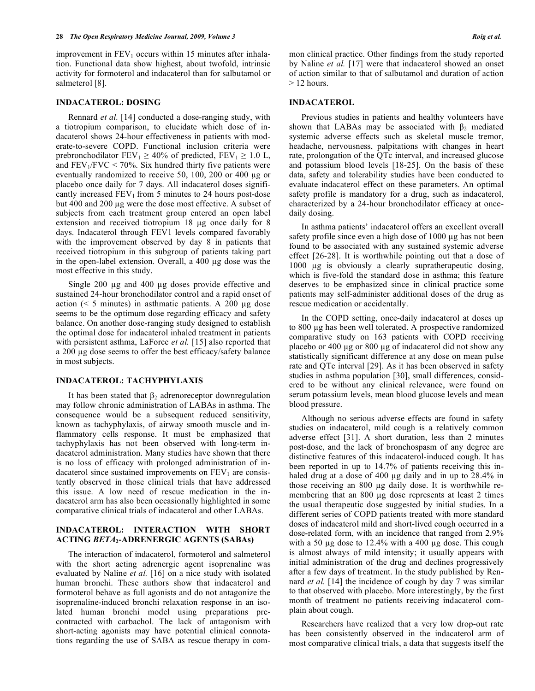improvement in  $FEV<sub>1</sub>$  occurs within 15 minutes after inhalation. Functional data show highest, about twofold, intrinsic activity for formoterol and indacaterol than for salbutamol or salmeterol [8].

## **INDACATEROL: DOSING**

 Rennard *et al.* [14] conducted a dose-ranging study, with a tiotropium comparison, to elucidate which dose of indacaterol shows 24-hour effectiveness in patients with moderate-to-severe COPD. Functional inclusion criteria were prebronchodilator  $FEV_1 \ge 40\%$  of predicted,  $FEV_1 \ge 1.0$  L, and  $FEV<sub>1</sub>/FVC < 70%$ . Six hundred thirty five patients were eventually randomized to receive 50, 100, 200 or 400  $\mu$ g or placebo once daily for 7 days. All indacaterol doses significantly increased  $FEV_1$  from 5 minutes to 24 hours post-dose but 400 and 200 µg were the dose most effective. A subset of subjects from each treatment group entered an open label extension and received tiotropium 18 µg once daily for 8 days. Indacaterol through FEV1 levels compared favorably with the improvement observed by day 8 in patients that received tiotropium in this subgroup of patients taking part in the open-label extension. Overall, a 400 µg dose was the most effective in this study.

Single 200  $\mu$ g and 400  $\mu$ g doses provide effective and sustained 24-hour bronchodilator control and a rapid onset of action ( $\leq 5$  minutes) in asthmatic patients. A 200  $\mu$ g dose seems to be the optimum dose regarding efficacy and safety balance. On another dose-ranging study designed to establish the optimal dose for indacaterol inhaled treatment in patients with persistent asthma, LaForce *et al.* [15] also reported that a 200 µg dose seems to offer the best efficacy/safety balance in most subjects.

### **INDACATEROL: TACHYPHYLAXIS**

It has been stated that  $\beta_2$  adrenoreceptor downregulation may follow chronic administration of LABAs in asthma. The consequence would be a subsequent reduced sensitivity, known as tachyphylaxis, of airway smooth muscle and inflammatory cells response. It must be emphasized that tachyphylaxis has not been observed with long-term indacaterol administration. Many studies have shown that there is no loss of efficacy with prolonged administration of indacaterol since sustained improvements on  $FEV<sub>1</sub>$  are consistently observed in those clinical trials that have addressed this issue. A low need of rescue medication in the indacaterol arm has also been occasionally highlighted in some comparative clinical trials of indacaterol and other LABAs.

## **INDACATEROL: INTERACTION WITH SHORT ACTING** *BETA***2-ADRENERGIC AGENTS (SABAs)**

 The interaction of indacaterol, formoterol and salmeterol with the short acting adrenergic agent isoprenaline was evaluated by Naline *et al.* [16] on a nice study with isolated human bronchi. These authors show that indacaterol and formoterol behave as full agonists and do not antagonize the isoprenaline-induced bronchi relaxation response in an isolated human bronchi model using preparations precontracted with carbachol. The lack of antagonism with short-acting agonists may have potential clinical connotations regarding the use of SABA as rescue therapy in common clinical practice. Other findings from the study reported by Naline *et al.* [17] were that indacaterol showed an onset of action similar to that of salbutamol and duration of action  $> 12$  hours.

#### **INDACATEROL**

 Previous studies in patients and healthy volunteers have shown that LABAs may be associated with  $\beta_2$  mediated systemic adverse effects such as skeletal muscle tremor, headache, nervousness, palpitations with changes in heart rate, prolongation of the QTc interval, and increased glucose and potassium blood levels [18-25]. On the basis of these data, safety and tolerability studies have been conducted to evaluate indacaterol effect on these parameters. An optimal safety profile is mandatory for a drug, such as indacaterol, characterized by a 24-hour bronchodilator efficacy at oncedaily dosing.

 In asthma patients' indacaterol offers an excellent overall safety profile since even a high dose of  $1000 \mu$ g has not been found to be associated with any sustained systemic adverse effect [26-28]. It is worthwhile pointing out that a dose of 1000 µg is obviously a clearly supratherapeutic dosing, which is five-fold the standard dose in asthma; this feature deserves to be emphasized since in clinical practice some patients may self-administer additional doses of the drug as rescue medication or accidentally.

 In the COPD setting, once-daily indacaterol at doses up to 800 µg has been well tolerated. A prospective randomized comparative study on 163 patients with COPD receiving placebo or 400 µg or 800 µg of indacaterol did not show any statistically significant difference at any dose on mean pulse rate and QTc interval [29]. As it has been observed in safety studies in asthma population [30], small differences, considered to be without any clinical relevance, were found on serum potassium levels, mean blood glucose levels and mean blood pressure.

 Although no serious adverse effects are found in safety studies on indacaterol, mild cough is a relatively common adverse effect [31]. A short duration, less than 2 minutes post-dose, and the lack of bronchospasm of any degree are distinctive features of this indacaterol-induced cough. It has been reported in up to 14.7% of patients receiving this inhaled drug at a dose of 400 µg daily and in up to 28.4% in those receiving an 800 µg daily dose. It is worthwhile remembering that an 800 µg dose represents at least 2 times the usual therapeutic dose suggested by initial studies. In a different series of COPD patients treated with more standard doses of indacaterol mild and short-lived cough occurred in a dose-related form, with an incidence that ranged from 2.9% with a 50  $\mu$ g dose to 12.4% with a 400  $\mu$ g dose. This cough is almost always of mild intensity; it usually appears with initial administration of the drug and declines progressively after a few days of treatment. In the study published by Rennard *et al.* [14] the incidence of cough by day 7 was similar to that observed with placebo. More interestingly, by the first month of treatment no patients receiving indacaterol complain about cough.

 Researchers have realized that a very low drop-out rate has been consistently observed in the indacaterol arm of most comparative clinical trials, a data that suggests itself the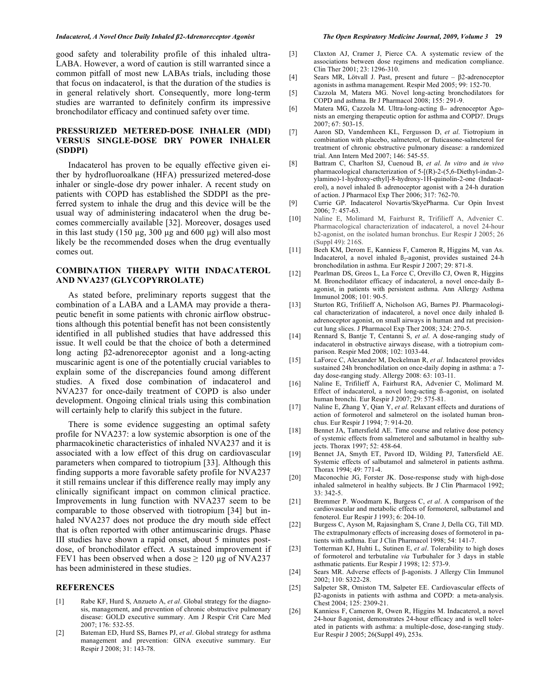#### *Indacaterol, A Novel Once Daily Inhaled 2-Adrenoreceptor Agonist The Open Respiratory Medicine Journal, 2009, Volume 3* **29**

good safety and tolerability profile of this inhaled ultra-LABA. However, a word of caution is still warranted since a common pitfall of most new LABAs trials, including those that focus on indacaterol, is that the duration of the studies is in general relatively short. Consequently, more long-term studies are warranted to definitely confirm its impressive bronchodilator efficacy and continued safety over time.

## **PRESSURIZED METERED-DOSE INHALER (MDI) VERSUS SINGLE-DOSE DRY POWER INHALER (SDDPI)**

 Indacaterol has proven to be equally effective given either by hydrofluoroalkane (HFA) pressurized metered-dose inhaler or single-dose dry power inhaler. A recent study on patients with COPD has established the SDDPI as the preferred system to inhale the drug and this device will be the usual way of administering indacaterol when the drug becomes commercially available [32]. Moreover, dosages used in this last study  $(150 \mu g, 300 \mu g)$  and  $600 \mu g)$  will also most likely be the recommended doses when the drug eventually comes out.

## **COMBINATION THERAPY WITH INDACATEROL AND NVA237 (GLYCOPYRROLATE)**

 As stated before, preliminary reports suggest that the combination of a LABA and a LAMA may provide a therapeutic benefit in some patients with chronic airflow obstructions although this potential benefit has not been consistently identified in all published studies that have addressed this issue. It well could be that the choice of both a determined long acting  $\beta$ 2-adrenoreceptor agonist and a long-acting muscarinic agent is one of the potentially crucial variables to explain some of the discrepancies found among different studies. A fixed dose combination of indacaterol and NVA237 for once-daily treatment of COPD is also under development. Ongoing clinical trials using this combination will certainly help to clarify this subject in the future.

 There is some evidence suggesting an optimal safety profile for NVA237: a low systemic absorption is one of the pharmacokinetic characteristics of inhaled NVA237 and it is associated with a low effect of this drug on cardiovascular parameters when compared to tiotropium [33]. Although this finding supports a more favorable safety profile for NVA237 it still remains unclear if this difference really may imply any clinically significant impact on common clinical practice. Improvements in lung function with NVA237 seem to be comparable to those observed with tiotropium [34] but inhaled NVA237 does not produce the dry mouth side effect that is often reported with other antimuscarinic drugs. Phase III studies have shown a rapid onset, about 5 minutes postdose, of bronchodilator effect. A sustained improvement if FEV1 has been observed when a dose  $\geq 120 \mu$ g of NVA237 has been administered in these studies.

### **REFERENCES**

- [1] Rabe KF, Hurd S, Anzueto A, *et al*. Global strategy for the diagnosis, management, and prevention of chronic obstructive pulmonary disease: GOLD executive summary. Am J Respir Crit Care Med 2007; 176: 532-55.
- [2] Bateman ED, Hurd SS, Barnes PJ, *et al*. Global strategy for asthma management and prevention: GINA executive summary. Eur Respir J 2008; 31: 143-78.
- [3] Claxton AJ, Cramer J, Pierce CA. A systematic review of the associations between dose regimens and medication compliance. Clin Ther 2001; 23: 1296-310.
- [4] Sears MR, Lötvall J. Past, present and future  $\beta$ 2-adrenoceptor agonists in asthma management. Respir Med 2005; 99: 152-70.
- [5] Cazzola M, Matera MG. Novel long-acting bronchodilators for COPD and asthma. Br J Pharmacol 2008; 155: 291-9.
- [6] Matera MG, Cazzola M. Ultra-long-acting ß- adrenoceptor Agonists an emerging therapeutic option for asthma and COPD?. Drugs 2007; 67: 503-15.
- [7] Aaron SD, Vandemheen KL, Fergusson D, *et al*. Tiotropium in combination with placebo, salmeterol, or fluticasone-salmeterol for treatment of chronic obstructive pulmonary disease: a randomized trial. Ann Intern Med 2007; 146: 545-55.
- [8] Battram C, Charlton SJ, Cuenoud B, *et al*. *In vitro* and *in vivo* pharmacological characterization of 5-[(R)-2-(5,6-Diethyl-indan-2 ylamino)-1-hydroxy-ethyl]-8-hydroxy-1H-quinolin-2-one (Indacaterol), a novel inhaled  $\beta$  adrenoceptor agonist with a 24-h duration of action. J Pharmacol Exp Ther 2006; 317: 762-70.
- [9] Currie GP. Indacaterol Novartis/SkyePharma. Cur Opin Invest 2006; 7: 457-63.
- [10] Naline E, Molimard M, Fairhurst R, Trifilieff A, Advenier C. Pharmacological characterization of indacaterol, a novel 24-hour b2-agonist, on the isolated human bronchus. Eur Respir J 2005; 26 (Suppl 49): 216S.
- [11] Beeh KM, Derom E, Kanniess F, Cameron R, Higgins M, van As. Indacaterol, a novel inhaled  $\beta_2$ -agonist, provides sustained 24-h bronchodilation in asthma. Eur Respir J 2007; 29: 871-8.
- [12] Pearlman DS, Greos L, La Force C, Orevillo CJ, Owen R, Higgins M. Bronchodilator efficacy of indacaterol, a novel once-daily ßagonist, in patients with persistent asthma. Ann Allergy Asthma Immunol 2008; 101: 90-5.
- [13] Sturton RG, Trifilieff A, Nicholson AG, Barnes PJ. Pharmacological characterization of indacaterol, a novel once daily inhaled ß adrenoceptor agonist, on small airways in human and rat precisioncut lung slices. J Pharmacol Exp Ther 2008; 324: 270-5.
- [14] Rennard S, Bantje T, Centanni S, *et al*. A dose-ranging study of indacaterol in obstructive airways disease, with a tiotropium comparison. Respir Med 2008; 102: 1033-44.
- [15] LaForce C, Alexander M, Deckelman R, *et al*. Indacaterol provides sustained 24h bronchodilation on once-daily doping in asthma: a 7 day dose-ranging study. Allergy 2008: 63: 103-11.
- [16] Naline E, Trifilieff A, Fairhurst RA, Advenier C, Molimard M. Effect of indacaterol, a novel long-acting ß-agonist, on isolated human bronchi. Eur Respir J 2007; 29: 575-81.
- [17] Naline E, Zhang Y, Qian Y, *et al*. Relaxant effects and durations of action of formoterol and salmeterol on the isolated human bronchus. Eur Respir J 1994; 7: 914-20.
- [18] Bennet JA, Tattersfield AE. Time course and relative dose potency of systemic effects from salmeterol and salbutamol in healthy subjects. Thorax 1997; 52: 458-64.
- [19] Bennet JA, Smyth ET, Pavord ID, Wilding PJ, Tattersfield AE. Systemic effects of salbutamol and salmeterol in patients asthma. Thorax 1994; 49: 771-4.
- [20] Maconochie JG, Forster JK. Dose-response study with high-dose inhaled salmeterol in healthy subjects. Br J Clin Pharmacol 1992; 33: 342-5.
- [21] Bremmer P. Woodmarn K, Burgess C, *et al*. A comparison of the cardiovascular and metabolic effects of formoterol, salbutamol and fenoterol. Eur Respir J 1993; 6: 204-10.
- [22] Burgess C, Ayson M, Rajasingham S, Crane J, Della CG, Till MD. The extrapulmonary effects of increasing doses of formoterol in patients with asthma. Eur J Clin Pharmacol 1998; 54: 141-7.
- [23] Totterman KJ, Huhti L, Sutinen E, *et al*. Tolerability to high doses of formoterol and terbutaline *via* Turbuhaler for 3 days in stable asthmatic patients. Eur Respir J 1998; 12: 573-9.
- [24] Sears MR. Adverse effects of  $\beta$ -agonists. J Allergy Clin Immunol 2002; 110: S322-28.
- [25] Salpeter SR, Omiston TM, Salpeter EE. Cardiovascular effects of 2-agonists in patients with asthma and COPD: a meta-analysis. Chest 2004; 125: 2309-21.
- [26] Kanniess F, Cameron R, Owen R, Higgins M. Indacaterol, a novel 24-hour ß-agonist, demonstrates 24-hour efficacy and is well tolerated in patients with asthma: a multiple-dose, dose-ranging study. Eur Respir J 2005; 26(Suppl 49), 253s.